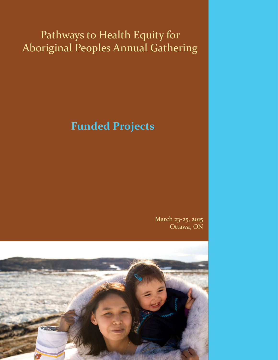# Pathways to Health Equity for Aboriginal Peoples Annual Gathering

# **Funded Projects**

March 23-25, 2015 Ottawa, ON

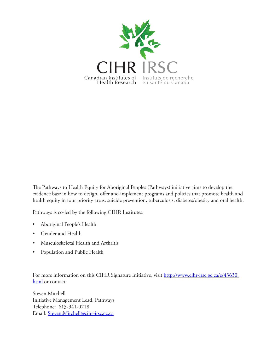

The Pathways to Health Equity for Aboriginal Peoples (Pathways) initiative aims to develop the evidence base in how to design, offer and implement programs and policies that promote health and health equity in four priority areas: suicide prevention, tuberculosis, diabetes/obesity and oral health.

Pathways is co-led by the following CIHR Institutes:

- Aboriginal People's Health
- Gender and Health
- Musculoskeletal Health and Arthritis
- Population and Public Health

For more information on this CIHR Signature Initiative, visit [http://www.cihr-irsc.gc.ca/e/43630.](http://www.cihr-irsc.gc.ca/e/43630.html) [html](http://www.cihr-irsc.gc.ca/e/43630.html) or contact:

Steven Mitchell Initiative Management Lead, Pathways Telephone: 613-941-0718 Email: [Steven.Mitchell@cihr-irsc.gc.ca](mailto:Steven.Mitchell%40cihr-irsc.gc.ca?subject=)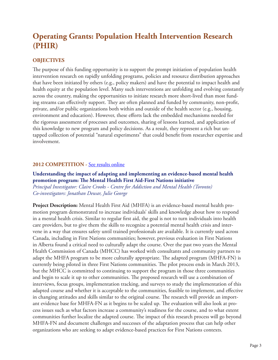# **Operating Grants: Population Health Intervention Research (PHIR)**

# **OBJECTIVES**

The purpose of this funding opportunity is to support the prompt initiation of population health intervention research on rapidly unfolding programs, policies and resource distribution approaches that have been initiated by others (e.g., policy makers) and have the potential to impact health and health equity at the population level. Many such interventions are unfolding and evolving constantly across the country, making the opportunities to initiate research more short-lived than most funding streams can effectively support. They are often planned and funded by community, non-profit, private, and/or public organizations both within and outside of the health sector (e.g., housing, environment and education). However, these efforts lack the embedded mechanisms needed for the rigorous assessment of processes and outcomes, sharing of lessons learned, and application of this knowledge to new program and policy decisions. As a result, they represent a rich but untapped collection of potential "natural experiments" that could benefit from researcher expertise and involvement.

# 2012 COMPETITION - [See results online](http://webapps.cihr-irsc.gc.ca/cfdd/db_search?p_language=E&p_competition=201212GIR)

**Understanding the impact of adapting and implementing an evidence-based mental health promotion program: The Mental Health First Aid-First Nations initiative** *Principal Investigator: Claire Crooks - Centre for Addiction and Mental Health (Toronto) Co-investigators: Jonathan Dewar, Julie George*

**Project Description:** Mental Health First Aid (MHFA) is an evidence-based mental health promotion program demonstrated to increase individuals' skills and knowledge about how to respond in a mental health crisis. Similar to regular first aid, the goal is not to turn individuals into health care providers, but to give them the skills to recognize a potential mental health crisis and intervene in a way that ensures safety until trained professionals are available. It is currently used across Canada, including in First Nations communities; however, previous evaluation in First Nations in Alberta found a critical need to culturally adapt the course. Over the past two years the Mental Health Commission of Canada (MHCC) has worked with consultants and community partners to adapt the MHFA program to be more culturally appropriate. The adapted program (MHFA-FN) is currently being piloted in three First Nations communities. The pilot process ends in March 2013, but the MHCC is committed to continuing to support the program in those three communities and begin to scale it up to other communities. The proposed research will use a combination of interviews, focus groups, implementation tracking, and surveys to study the implementation of this adapted course and whether it is acceptable to the communities, feasible to implement, and effective in changing attitudes and skills similar to the original course. The research will provide an important evidence base for MHFA-FN as it begins to be scaled up. The evaluation will also look at process issues such as what factors increase a community's readiness for the course, and to what extent communities further localize the adapted course. The impact of this research process will go beyond MHFA-FN and document challenges and successes of the adaptation process that can help other organizations who are seeking to adapt evidence-based practices for First Nations contexts.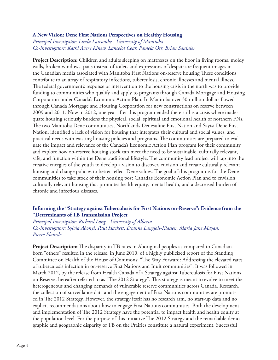### **A New Vision: Dene First Nations Perspectives on Healthy Housing**

*Principal Investigator: Linda Larcombe - University of Manitoba Co-investigators: Kathi Avery Kinew, Lancelot Coar, Pamela Orr, Brian Saulnier*

**Project Description:** Children and adults sleeping on mattresses on the floor in living rooms, moldy walls, broken windows, pails instead of toilets and expressions of despair are frequent images in the Canadian media associated with Manitoba First Nations on-reserve housing These conditions contribute to an array of respiratory infections, tuberculosis, chronic illnesses and mental illness. The federal government's response or intervention to the housing crisis in the north was to provide funding to communities who qualify and apply to programs through Canada Mortgage and Housing Corporation under Canada's Economic Action Plan. In Manitoba over 30 million dollars flowed through Canada Mortgage and Housing Corporation for new constructions on reserve between 2009 and 2011. Now in 2012, one year after this program ended there still is a crisis where inadequate housing seriously burdens the physical, social, spiritual and emotional health of northern FNs. The two Manitoba Dene communities, Northlands Denesuline First Nation and Sayisi Dene First Nation, identified a lack of vision for housing that integrates their cultural and social values, and practical needs with existing housing policies and programs. The communities are prepared to evaluate the impact and relevance of the Canada's Economic Action Plan program for their community and explore how on-reserve housing stock can meet the need to be sustainable, culturally relevant, safe, and function within the Dene traditional lifestyle. The community lead project will tap into the creative energies of the youth to develop a vision to discover, envision and create culturally relevant housing and change policies to better reflect Dene values. The goal of this program is for the Dene communities to take stock of their housing post Canada's Economic Action Plan and to envision culturally relevant housing that promotes health equity, mental health, and a decreased burden of chronic and infectious diseases.

# **Informing the "Strategy against Tuberculosis for First Nations on-Reserve": Evidence from the "Determinants of TB Transmission Project**

*Principal Investigator: Richard Long - University of Alberta Co-investigators: Sylvia Abonyi, Paul Hackett, Deanne Langlois-Klassen, Maria Jane Mayan, Pierre Plourde*

Project Description: The disparity in TB rates in Aboriginal peoples as compared to Canadianborn "others" resulted in the release, in June 2010, of a highly publicized report of the Standing Committee on Health of the House of Commons; "The Way Forward: Addressing the elevated rates of tuberculosis infection in on-reserve First Nations and Inuit communities". It was followed in March 2012, by the release from Health Canada of a Strategy against Tuberculosis for First Nations on Reserve, hereafter referred to as "The 2012 Strategy". This strategy is meant to evolve to meet the heterogeneous and changing demands of vulnerable reserve communities across Canada. Research, the collection of surveillance data and the engagement of First Nations communities are promoted in The 2012 Strategy. However, the strategy itself has no research arm, no start-up data and no explicit recommendations about how to engage First Nations communities. Both the development and implementation of The 2012 Strategy have the potential to impact health and health equity at the population level. For the purpose of this initiative The 2012 Strategy and the remarkable demographic and geographic disparity of TB on the Prairies constitute a natural experiment. Successful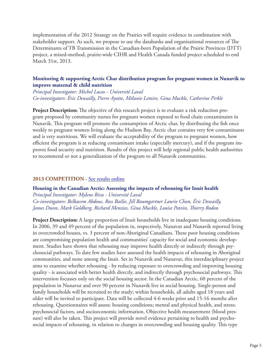implementation of the 2012 Strategy on the Prairies will require evidence in combination with stakeholder support. As such, we propose to use the databanks and organizational resources of The Determinants of TB Transmission in the Canadian-born Population of the Prairie Provinces (DTT) project, a mixed-method, prairie-wide CIHR and Health Canada funded project scheduled to end March 31st, 2013.

# **Monitoring & supporting Arctic Char distribution program for pregnant women in Nunavik to improve maternal & child nutrition**

*Principal Investigator: Michel Lucas - Université Laval Co-investigators: Éric Dewailly, Pierre Ayotte, Mélanie Lemire, Gina Muckle, Catherine Pirkle*

**Project Description:** The objective of this research project is to evaluate a risk reduction program proposed by community nurses for pregnant women exposed to food chain contaminants in Nunavik. This program will promote the consumption of Arctic char, by distributing the fish once weekly to pregnant women living along the Hudson Bay. Arctic char contains very few contaminants and is very nutritious. We will evaluate the acceptability of the program to pregnant women, how efficient the program is at reducing contaminant intake (especially mercury), and if the program improves food security and nutrition. Results of this project will help regional public health authorities to recommend or not a generalization of the program to all Nunavik communities.

### **2013 COMPETITION -** [See results online](http://webapps.cihr-irsc.gc.ca/cfdd/db_search?p_language=E&p_competition=201312GIR)

**Housing in the Canadian Arctic: Assessing the impacts of rehousing for Inuit health** *Principal Investigator: Mylene Riva - Université Laval Co-investigators: Belkacem Abdous, Ross Bailie, Jill Baumgartner Laurie Chan, Éric Dewailly, James Dunn, Mark Goldberg, Richard Menzies, Gina Muckle, Louise Potvin, Thierry Rodon*

**Project Description:** A large proportion of Inuit households live in inadequate housing conditions. In 2006, 39 and 49 percent of the population in, respectively, Nunavut and Nunavik reported living in overcrowded houses, vs. 3 percent of non-Aboriginal Canadians. These poor housing conditions are compromising population health and communities' capacity for social and economic development. Studies have shown that rehousing may improve health directly or indirectly through psychosocial pathways. To date few studies have assessed the health impacts of rehousing in Aboriginal communities, and none among the Inuit. Set in Nunavik and Nunavut, this interdisciplinary project aims to examine whether rehousing - by reducing exposure to overcrowding and improving housing quality - is associated with better health directly, and indirectly through psychosocial pathways. This intervention focusses only on the social housing sector. In the Canadian Arctic, 60 percent of the population in Nunavut and over 90 percent in Nunavik live in social housing. Single-person and family households will be recruited to the study; within households, all adults aged 18 years and older will be invited to participate. Data will be collected 4-6 weeks prior and 15-16 months after rehousing. Questionnaires will assess: housing conditions; mental and physical health, and stress; psychosocial factors, and socioeconomic information. Objective health measurement (blood pressure) will also be taken. This project will provide novel evidence pertaining to health and psychosocial impacts of rehousing, in relation to changes in overcrowding and housing quality. This type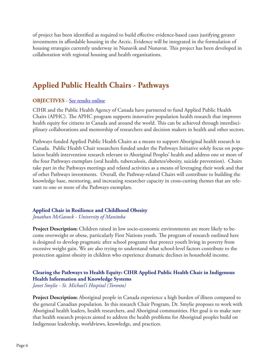of project has been identified as required to build effective evidence-based cases justifying greater investments in affordable housing in the Arctic. Evidence will be integrated in the formulation of housing strategies currently underway in Nunavik and Nunavut. This project has been developed in collaboration with regional housing and health organizations.

# **Applied Public Health Chairs - Pathways**

# **OBJECTIVES - [See results online](http://webapps.cihr-irsc.gc.ca/cfdd/db_search?p_language=E&p_competition=201405CPP)**

CIHR and the Public Health Agency of Canada have partnered to fund Applied Public Health Chairs (APHC). The APHC program supports innovative population health research that improves health equity for citizens in Canada and around the world. This can be achieved through interdisciplinary collaborations and mentorship of researchers and decision makers in health and other sectors.

Pathways funded Applied Public Health Chairs as a means to support Aboriginal health research in Canada. Public Health Chair researchers funded under the Pathways Initiative solely focus on population health intervention research relevant to Aboriginal Peoples' health and address one or more of the four Pathways exemplars (oral health, tuberculosis, diabetes/obesity, suicide prevention). Chairs take part in the Pathways meetings and related activities as a means of leveraging their work and that of other Pathways investments. Overall, the Pathway-related Chairs will contribute to building the knowledge base, mentoring, and increasing researcher capacity in cross-cutting themes that are relevant to one or more of the Pathways exemplars.

# **Applied Chair in Resilience and Childhood Obesity**

*Jonathan McGavock - University of Manitoba*

**Project Description:** Children raised in low socio-economic environments are more likely to become overweight or obese, particularly First Nations youth. The program of research outlined here is designed to develop pragmatic after school programs that protect youth living in poverty from excessive weight gain. We are also trying to understand what school-level factors contribute to the protection against obesity in children who experience dramatic declines in household income.

# **Clearing the Pathways to Health Equity: CIHR Applied Public Health Chair in Indigenous Health Information and Knowledge Systems**

*Janet Smylie - St. Michael's Hospital (Toronto)*

**Project Description:** Aboriginal people in Canada experience a high burden of illness compared to the general Canadian population. In this research Chair Program, Dr. Smylie proposes to work with Aboriginal health leaders, health researchers, and Aboriginal communities. Her goal is to make sure that health research projects aimed to address the health problems for Aboriginal peoples build on Indigenous leadership, worldviews, knowledge, and practices.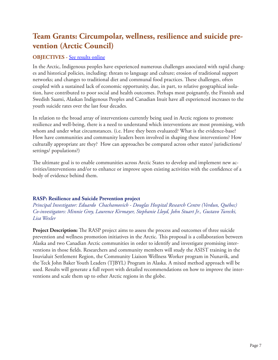# **Team Grants: Circumpolar, wellness, resilience and suicide prevention (Arctic Council)**

# **OBJECTIVES - [See results online](http://webapps.cihr-irsc.gc.ca/cfdd/db_search?p_language=E&p_competition=201401TCS)**

In the Arctic, Indigenous peoples have experienced numerous challenges associated with rapid changes and historical policies, including: threats to language and culture; erosion of traditional support networks; and changes to traditional diet and communal food practices. These challenges, often coupled with a sustained lack of economic opportunity, due, in part, to relative geographical isolation, have contributed to poor social and health outcomes. Perhaps most poignantly, the Finnish and Swedish Saami, Alaskan Indigenous Peoples and Canadian Inuit have all experienced increases to the youth suicide rates over the last four decades.

In relation to the broad array of interventions currently being used in Arctic regions to promote resilience and well-being, there is a need to understand which interventions are most promising, with whom and under what circumstances. (i.e. Have they been evaluated? What is the evidence-base? How have communities and community leaders been involved in shaping these interventions? How culturally appropriate are they? How can approaches be compared across other states/ jurisdictions/ settings/ populations?)

The ultimate goal is to enable communities across Arctic States to develop and implement new activities/interventions and/or to enhance or improve upon existing activities with the confidence of a body of evidence behind them.

# **RASP: Resilience and Suicide Prevention project**

*Principal Investigator: Eduardo Chachamovich - Douglas Hospital Research Centre (Verdun, Québec) Co-investigators: Minnie Grey, Laurence Kirmayer, Stephanie Lloyd, John Stuart Jr., Gustavo Turecki, Lisa Wexler*

**Project Description:** The RASP project aims to assess the process and outcomes of three suicide prevention and wellness promotion initiatives in the Arctic. This proposal is a collaboration between Alaska and two Canadian Arctic communities in order to identify and investigate promising interventions in those fields. Researchers and community members will study the ASIST training in the Inuvialuit Settlement Region, the Community Liaison Wellness Worker program in Nunavik, and the Teck John Baker Youth Leaders (TJBYL) Program in Alaska. A mixed method approach will be used. Results will generate a full report with detailed recommendations on how to improve the interventions and scale them up to other Arctic regions in the globe.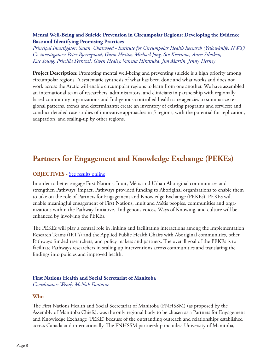# **Mental Well-Being and Suicide Prevention in Circumpolar Regions: Developing the Evidence Base and Identifying Promising Practices**

*Principal Investigator: Susan Chatwood - Institute for Circumpolar Health Research (Yellowknife, NWT) Co-investigators: Peter Bjerregaard, Gunn Heatta, Michael Jong, Siv Kvernmo, Anne Silviken, Kue Young, Priscilla Ferrazzi, Gwen Healey, Vanessa Hiratsuka, Jim Martin, Jenny Tierney*

**Project Description:** Promoting mental well-being and preventing suicide is a high priority among circumpolar regions. A systematic synthesis of what has been done and what works and does not work across the Arctic will enable circumpolar regions to learn from one another. We have assembled an international team of researchers, administrators, and clinicians in partnership with regionally based community organizations and Indigenous-controlled health care agencies to summarize regional patterns, trends and determinants; create an inventory of existing programs and services; and conduct detailed case studies of innovative approaches in 5 regions, with the potential for replication, adaptation, and scaling-up by other regions.

# **Partners for Engagement and Knowledge Exchange (PEKEs)**

# **OBJECTIVES** - [See results online](http://webapps.cihr-irsc.gc.ca/cfdd/db_search?p_language=E&p_competition=201312PAK)

In order to better engage First Nations, Inuit, Métis and Urban Aboriginal communities and strengthen Pathways' impact, Pathways provided funding to Aboriginal organizations to enable them to take on the role of Partners for Engagement and Knowledge Exchange (PEKEs). PEKEs will enable meaningful engagement of First Nations, Inuit and Métis peoples, communities and organizations within the Pathway Initiative. Indigenous voices, Ways of Knowing, and culture will be enhanced by involving the PEKEs.

The PEKEs will play a central role in linking and facilitating interactions among the Implementation Research Teams (IRT's) and the Applied Public Health Chairs with Aboriginal communities, other Pathways funded researchers, and policy makers and partners. The overall goal of the PEKEs is to facilitate Pathways researchers in scaling up interventions across communities and translating the findings into policies and improved health.

# **First Nations Health and Social Secretariat of Manitoba**

*Coordinator: Wendy McNab Fontaine*

# **Who**

The First Nations Health and Social Secretariat of Manitoba (FNHSSM) (as proposed by the Assembly of Manitoba Chiefs), was the only regional body to be chosen as a Partners for Engagement and Knowledge Exchange (PEKE) because of the outstanding outreach and relationships established across Canada and internationally. The FNHSSM partnership includes: University of Manitoba,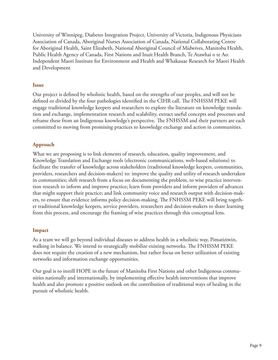University of Winnipeg, Diabetes Integration Project, University of Victoria, Indigenous Physicians Association of Canada, Aboriginal Nurses Association of Canada, National Collaborating Centre for Aboriginal Health, Saint Elizabeth, National Aboriginal Council of Midwives, Manitoba Health, Public Health Agency of Canada, First Nations and Inuit Health Branch, Te Atawhai o te Ao: Independent Maori Institute for Environment and Health and Whakauae Research for Maori Health and Development

# **Issue**

Our project is defined by wholistic health, based on the strengths of our peoples, and will not be defined or divided by the four pathologies identified in the CIHR call. The FNHSSM PEKE will engage traditional knowledge keepers and researchers to explore the literature on knowledge translation and exchange, implementation research and scalability, extract useful concepts and processes and reframe these from an Indigenous knowledge's perspective. The FNHSSM and their partners are each committed to moving from promising practices to knowledge exchange and action in communities.

# **Approach**

What we are proposing is to link elements of research, education, quality improvement, and Knowledge Translation and Exchange tools (electronic communications, web-based solutions) to facilitate the transfer of knowledge across stakeholders (traditional knowledge keepers, communities, providers, researchers and decision-makers) to: improve the quality and utility of research undertaken in communities; shift research from a focus on documenting the problem, to wise practice intervention research to inform and improve practice; learn from providers and inform providers of advances that might support their practice; and link community voice and research output with decision-makers, to ensure that evidence informs policy decision-making. The FNHSSM PEKE will bring together traditional knowledge keepers, service providers, researchers and decision-makers to share learning from this process, and encourage the framing of wise practices through this conceptual lens.

# **Impact**

As a team we will go beyond individual diseases to address health in a wholistic way, Pimatiziwin, walking in balance. We intend to strategically mobilize existing networks. The FNHSSM PEKE does not require the creation of a new mechanism, but rather focus on better utilization of existing networks and information exchange opportunities.

Our goal is to instill HOPE in the future of Manitoba First Nations and other Indigenous communities nationally and internationally, by implementing effective health interventions that improve health and also promote a positive outlook on the contribution of traditional ways of healing in the pursuit of wholistic health.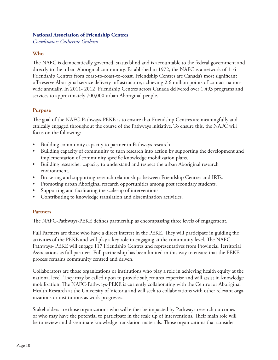### **National Association of Friendship Centres**

*Coordinator: Catherine Graham*

# **Who**

The NAFC is democratically governed, status blind and is accountable to the federal government and directly to the urban Aboriginal community. Established in 1972, the NAFC is a network of 116 Friendship Centres from coast-to-coast-to-coast. Friendship Centres are Canada's most significant off-reserve Aboriginal service delivery infrastructure, achieving 2.6 million points of contact nationwide annually. In 2011- 2012, Friendship Centres across Canada delivered over 1,493 programs and services to approximately 700,000 urban Aboriginal people.

# **Purpose**

The goal of the NAFC-Pathways-PEKE is to ensure that Friendship Centres are meaningfully and ethically engaged throughout the course of the Pathways initiative. To ensure this, the NAFC will focus on the following:

- Building community capacity to partner in Pathways research.
- Building capacity of community to turn research into action by supporting the development and implementation of community specific knowledge mobilization plans.
- Building researcher capacity to understand and respect the urban Aboriginal research environment.
- Brokering and supporting research relationships between Friendship Centres and IRTs.
- Promoting urban Aboriginal research opportunities among post secondary students.
- Supporting and facilitating the scale-up of interventions.
- Contributing to knowledge translation and dissemination activities.

# **Partners**

The NAFC-Pathways-PEKE defines partnership as encompassing three levels of engagement.

Full Partners are those who have a direct interest in the PEKE. They will participate in guiding the activities of the PEKE and will play a key role in engaging at the community level. The NAFC-Pathways- PEKE will engage 117 Friendship Centres and representatives from Provincial Territorial Associations as full partners. Full partnership has been limited in this way to ensure that the PEKE process remains community centred and driven.

Collaborators are those organizations or institutions who play a role in achieving health equity at the national level. They may be called upon to provide subject area expertise and will assist in knowledge mobilization. The NAFC-Pathways-PEKE is currently collaborating with the Centre for Aboriginal Health Research at the University of Victoria and will seek to collaborations with other relevant organizations or institutions as work progresses.

Stakeholders are those organizations who will either be impacted by Pathways research outcomes or who may have the potential to participate in the scale up of interventions. Their main role will be to review and disseminate knowledge translation materials. Those organizations that consider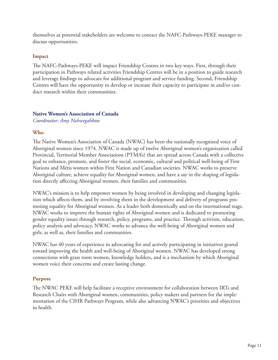themselves as potential stakeholders are welcome to contact the NAFC-Pathways-PEKE manager to discuss opportunities.

# **Impact**

The NAFC-Pathways-PEKE will impact Friendship Centres in two key ways. First, through their participation in Pathways related activities Friendship Centres will be in a position to guide research and leverage findings to advocate for additional program and service funding. Second, Friendship Centres will have the opportunity to develop or increase their capacity to participate in and/or conduct research within their communities.

# **Native Women's Association of Canada**

*Coordinator: Amy Nahwegahbow*

# **Who**

The Native Women's Association of Canada (NWAC) has been the nationally recognized voice of Aboriginal women since 1974. NWAC is made up of twelve Aboriginal women's organization called Provincial, Territorial Member Associations (PTMA's) that are spread across Canada with a collective goal to enhance, promote, and foster the social, economic, cultural and political well-being of First Nations and Métis women within First Nation and Canadian societies. NWAC works to preserve Aboriginal culture, achieve equality for Aboriginal women, and have a say in the shaping of legislation directly affecting Aboriginal women, their families and communities.

NWAC's mission is to help empower women by being involved in developing and changing legislation which affects them, and by involving them in the development and delivery of programs promoting equality for Aboriginal women. As a leader both domestically and on the international stage, NWAC works to improve the human rights of Aboriginal women and is dedicated to promoting gender equality issues through research, policy, programs, and practice. Through activism, education, policy analysis and advocacy, NWAC works to advance the well-being of Aboriginal women and girls, as well as, their families and communities.

NWAC has 40 years of experience in advocating for and actively participating in initiatives geared toward improving the health and well-being of Aboriginal women. NWAC has developed strong connections with grass roots women, knowledge holders, and is a mechanism by which Aboriginal women voice their concerns and create lasting change.

# **Purpose**

The NWAC PEKE will help facilitate a receptive environment for collaboration between IRTs and Research Chairs with Aboriginal women, communities, policy makers and partners for the implementation of the CIHR Pathways Program, while also advancing NWAC's priorities and objectives in health.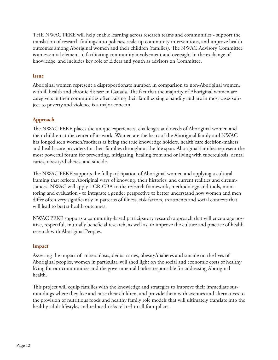THE NWAC PEKE will help enable learning across research teams and communities - support the translation of research findings into policies, scale-up community interventions, and improve health outcomes among Aboriginal women and their children (families). The NWAC Advisory Committee is an essential element to facilitating community involvement and oversight in the exchange of knowledge, and includes key role of Elders and youth as advisors on Committee.

# **Issue**

Aboriginal women represent a disproportionate number, in comparison to non-Aboriginal women, with ill health and chronic disease in Canada. The fact that the majority of Aboriginal women are caregivers in their communities often raising their families single handily and are in most cases subject to poverty and violence is a major concern.

# **Approach**

The NWAC PEKE places the unique experiences, challenges and needs of Aboriginal women and their children at the center of its work. Women are the heart of the Aboriginal family and NWAC has longed seen women/mothers as being the true knowledge holders, health care decision-makers and health-care providers for their families throughout the life span. Aboriginal families represent the most powerful forum for preventing, mitigating, healing from and or living with tuberculosis, dental caries, obesity/diabetes, and suicide.

The NWAC PEKE supports the full participation of Aboriginal women and applying a cultural framing that reflects Aboriginal ways of knowing, their histories, and current realities and circumstances. NWAC will apply a CR-GBA to the research framework, methodology and tools, monitoring and evaluation - to integrate a gender perspective to better understand how women and men differ often very significantly in patterns of illness, risk factors, treatments and social contexts that will lead to better health outcomes.

NWAC PEKE supports a community-based participatory research approach that will encourage positive, respectful, mutually beneficial research, as well as, to improve the culture and practice of health research with Aboriginal Peoples.

# **Impact**

Assessing the impact of tuberculosis, dental caries, obesity/diabetes and suicide on the lives of Aboriginal peoples, women in particular, will shed light on the social and economic costs of healthy living for our communities and the governmental bodies responsible for addressing Aboriginal health.

This project will equip families with the knowledge and strategies to improve their immediate surroundings where they live and raise their children, and provide them with avenues and alternatives to the provision of nutritious foods and healthy family role models that will ultimately translate into the healthy adult lifestyles and reduced risks related to all four pillars.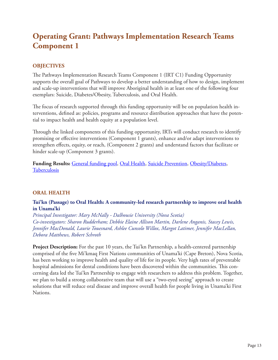# **Operating Grant: Pathways Implementation Research Teams Component 1**

# **OBJECTIVES**

The Pathways Implementation Research Teams Component 1 (IRT C1) Funding Opportunity supports the overall goal of Pathways to develop a better understanding of how to design, implement and scale-up interventions that will improve Aboriginal health in at least one of the following four exemplars: Suicide, Diabetes/Obesity, Tuberculosis, and Oral Health.

The focus of research supported through this funding opportunity will be on population health interventions, defined as: policies, programs and resource distribution approaches that have the potential to impact health and health equity at a population level.

Through the linked components of this funding opportunity, IRTs will conduct research to identify promising or effective interventions (Component 1 grants), enhance and/or adapt interventions to strengthen effects, equity, or reach, (Component 2 grants) and understand factors that facilitate or hinder scale-up (Component 3 grants).

**Funding Results:** [General funding pool,](http://webapps.cihr-irsc.gc.ca/cfdd/db_search?p_language=E&p_competition=201410OPA) [Oral Health](http://webapps.cihr-irsc.gc.ca/cfdd/db_search?p_language=E&p_competition=201410OP3), [Suicide Prevention](http://webapps.cihr-irsc.gc.ca/cfdd/db_search?p_language=E&p_competition=201410OP4), [Obesity/Diabetes,](http://webapps.cihr-irsc.gc.ca/cfdd/db_search?p_language=E&p_competition=201410OP5) **[Tuberculosis](http://webapps.cihr-irsc.gc.ca/cfdd/db_search?p_language=E&p_competition=201410OP6)** 

# **ORAL HEALTH**

### **Tui'kn (Passage) to Oral Health: A community-led research partnership to improve oral health in Unama'ki**

*Principal Investigator: Mary McNally - Dalhousie University (Nova Scotia) Co-investigators: Sharon Rudderham; Debbie Elaine Allison Martin, Darlene Anganis, Stacey Lewis, Jennifer MacDonald, Laurie Touesnard, Ashlee Cunsolo Willox, Margot Latimer, Jennifer MacLellan, Debora Matthews, Robert Schroth*

**Project Description:** For the past 10 years, the Tui'kn Partnership, a health-centered partnership comprised of the five Mi'kmaq First Nations communities of Unama'ki (Cape Breton), Nova Scotia, has been working to improve health and quality of life for its people. Very high rates of preventable hospital admissions for dental conditions have been discovered within the communities. This concerning data led the Tui'kn Partnership to engage with researchers to address this problem. Together, we plan to build a strong collaborative team that will use a "two-eyed seeing" approach to create solutions that will reduce oral disease and improve overall health for people living in Unama'ki First Nations.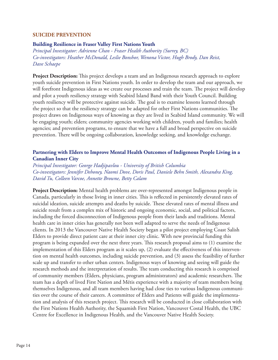### **SUICIDE PREVENTION**

#### **Building Resilience in Fraser Valley First Nations Youth**

*Principal Investigator: Adrienne Chan - Fraser Health Authority (Surrey, BC) Co-investigators: Heather McDonald, Leslie Bonshor, Wenona Victor, Hugh Brody, Dan Reist, Dave Schaepe* 

**Project Description:** This project develops a team and an Indigenous research approach to explore youth suicide prevention in First Nations youth. In order to develop the team and our approach, we will forefront Indigenous ideas as we create our processes and train the team. The project will develop and pilot a youth resiliency strategy with Seabird Island Band with their Youth Council. Building youth resiliency will be protective against suicide. The goal is to examine lessons learned through the project so that the resiliency strategy can be adapted for other First Nations communities. The project draws on Indigenous ways of knowing as they are lived in Seabird Island community. We will be engaging youth; elders; community agencies working with children, youth and families; health agencies; and prevention programs, to ensure that we have a full and broad perspective on suicide prevention. There will be ongoing collaboration, knowledge seeking, and knowledge exchange.

### **Partnering with Elders to Improve Mental Health Outcomes of Indigenous People Living in a Canadian Inner City**

*Principal Investigator: George Hadjipavlou - University of British Columbia Co-investigators: Jennifer Dehoney, Naomi Dove, Doris Paul, Daniele Behn Smith, Alexandra King, David Tu, Colleen Varcoe, Annette Browne, Betty Calam*

**Project Description:** Mental health problems are over-represented amongst Indigenous people in Canada, particularly in those living in inner cities. This is reflected in persistently elevated rates of suicidal ideation, suicide attempts and deaths by suicide. These elevated rates of mental illness and suicide result from a complex mix of historic and ongoing economic, social, and political factors, including the forced disconnection of Indigenous people from their lands and traditions. Mental health care in inner cities has generally not been well adapted to serve the needs of Indigenous clients. In 2013 the Vancouver Native Health Society began a pilot project employing Coast Salish Elders to provide direct patient care at their inner city clinic. With new provincial funding this program is being expanded over the next three years. This research proposal aims to (1) examine the implementation of this Elders program as it scales up, (2) evaluate the effectiveness of this intervention on mental health outcomes, including suicide prevention, and (3) assess the feasibility of further scale up and transfer to other urban centers. Indigenous ways of knowing and seeing will guide the research methods and the interpretation of results. The team conducting this research is comprised of community members (Elders, physicians, program administrators) and academic researchers. The team has a depth of lived First Nation and Métis experience with a majority of team members being themselves Indigenous, and all team members having had close ties to various Indigenous communities over the course of their careers. A committee of Elders and Patients will guide the implementation and analysis of this research project. This research will be conducted in close collaboration with the First Nations Health Authority, the Squamish First Nation, Vancouver Costal Health, the UBC Centre for Excellence in Indigenous Health, and the Vancouver Native Health Society.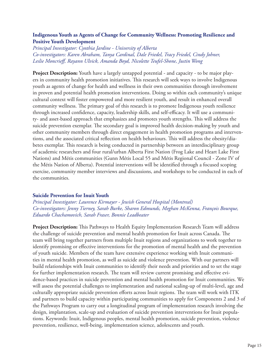# **Indigenous Youth as Agents of Change for Community Wellness: Promoting Resilience and Positive Youth Development**

*Principal Investigator: Cynthia Jardine - University of Alberta Co-investigators: Karen Abraham, Tanya Cardinal, Dale Friedel, Tracy Friedel, Cindy Johner, Leslie Moncrieff, Rayann Ulvick, Amanda Boyd, Nicolette Teufel-Shone, Justin Wong*

**Project Description:** Youth have a largely untapped potential - and capacity - to be major players in community health promotion initiatives. This research will seek ways to involve Indigenous youth as agents of change for health and wellness in their own communities through involvement in proven and potential health promotion interventions. Doing so within each community's unique cultural context will foster empowered and more resilient youth, and result in enhanced overall community wellness. The primary goal of this research is to promote Indigenous youth resilience through increased confidence, capacity, leadership skills, and self-efficacy. It will use a community- and asset-based approach that emphasizes and promotes youth strengths. This will address the suicide prevention exemplar. The secondary goal is improved health decision-making by youth and other community members through direct engagement in health promotion programs and interventions, and the associated critical reflection on health behaviours. This will address the obesity/diabetes exemplar. This research is being conducted in partnership between an interdisciplinary group of academic researchers and four rural/urban Alberta First Nation (Frog Lake and Heart Lake First Nations) and Métis communities (Gunn Métis Local 55 and Métis Regional Council - Zone IV of the Métis Nation of Alberta). Potential interventions will be identified through a focused scoping exercise, community member interviews and discussions, and workshops to be conducted in each of the communities.

### **Suicide Prevention for Inuit Youth**

*Principal Investigator: Laurence Kirmayer - Jewish General Hospital (Montreal) Co-investigators: Jenny Tierney, Sarah Burke, Sharon Edmunds, Meghan McKenna, François Bourque, Eduardo Chachamovich, Sarah Fraser, Bonnie Leadbeater*

**Project Description:** This Pathways to Health Equity Implementation Research Team will address the challenge of suicide prevention and mental health promotion for Inuit across Canada. The team will bring together partners from multiple Inuit regions and organizations to work together to identify promising or effective interventions for the promotion of mental health and the prevention of youth suicide. Members of the team have extensive experience working with Inuit communities in mental health promotion, as well as suicide and violence prevention. With our partners will build relationships with Inuit communities to identify their needs and priorities and to set the stage for further implementation research. The team will review current promising and effective evidence-based practices in suicide prevention and mental health promotion for Inuit communities. We will assess the potential challenges to implementation and national scaling-up of multi-level, age and culturally appropriate suicide prevention efforts across Inuit regions. The team will work with ITK and partners to build capacity within participating communities to apply for Components 2 and 3 of the Pathways Program to carry out a longitudinal program of implementation research involving the design, implantation, scale-up and evaluation of suicide prevention interventions for Inuit populations. Keywords: Inuit, Indigenous peoples, mental health promotion, suicide prevention, violence prevention, resilience, well-being, implementation science, adolescents and youth.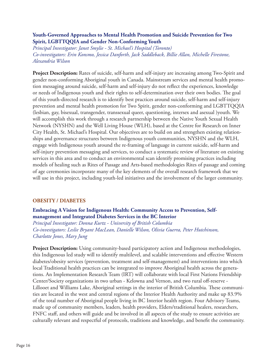### **Youth-Governed Approaches to Mental Health Promotion and Suicide Prevention for Two Spirit, LGBTTQQIA and Gender Non-Conforming Youth**

*Principal Investigator: Janet Smylie - St. Michael's Hospital (Toronto) Co-investigators: Erin Konsmo, Jessica Danforth, Jack Saddleback, Billie Allan, Michelle Firestone, Alexandria Wilson*

**Project Description:** Rates of suicide, self-harm and self-injury are increasing among Two-Spirit and gender non-conforming Aboriginal youth in Canada. Mainstream services and mental health promotion messaging around suicide, self-harm and self-injury do not reflect the experiences, knowledge or needs of Indigenous youth and their rights to self-determination over their own bodies. The goal of this youth-directed research is to identify best practices around suicide, self-harm and self-injury prevention and mental health promotion for Two Spirit, gender non-conforming and LGBTTQQIA (lesbian, gay, bisexual, transgender, transsexual queer, questioning, intersex and asexual )youth. We will accomplish this work through a research partnership between the Native Youth Sexual Health Network (NYSHN) and the Well Living House (WLH), based at the Centre for Research on Inner City Health, St. Michael's Hospital. Our objectives are to build on and strengthen existing relationships and governance structures between Indigenous youth communities, NYSHN and the WLH, engage with Indigenous youth around the re-framing of language in current suicide, self-harm and self-injury prevention messaging and services, to conduct a systematic review of literature on existing services in this area and to conduct an environmental scan identify promising practices including models of healing such as Rites of Passage and Arts-based methodologies Rites of passage and coming of age ceremonies incorporate many of the key elements of the overall research framework that we will use in this project, including youth-led initiatives and the involvement of the larger community.

# **OBESITY / DIABETES**

# **Embracing A Vision for Indigenous Health: Community Access to Prevention, Selfmanagement and Integrated Diabetes Services in the BC Interior**

*Principal Investigator: Donna Kurtz - University of British Columbia Co-investigators: Leslie Bryant MacLean, Danielle Wilson, Olivia Guerra, Peter Hutchinson, Charlotte Jones, Mary Jung*

**Project Description:** Using community-based participatory action and Indigenous methodologies, this Indigenous led study will to identify multilevel, and scalable interventions and effective Western diabetes/obesity services (prevention, treatment and self-management) and interventions into which local Traditional health practices can be integrated to improve Aboriginal health across the generations. An Implementation Research Team (IRT) will collaborate with local First Nations Friendship Center/Society organizations in two urban - Kelowna and Vernon, and two rural off-reserve - Lillooet and Williams Lake, Aboriginal settings in the interior of British Columbia. These communities are located in the west and central regions of the Interior Health Authority and make up 83.9% of the total number of Aboriginal people living in BC Interior health region. Four Advisory Teams, made up of community members, leaders, health providers, Elders/traditional healers, researchers, FNFC staff, and others will guide and be involved in all aspects of the study to ensure activities are culturally relevant and respectful of protocols, traditions and knowledge, and benefit the community.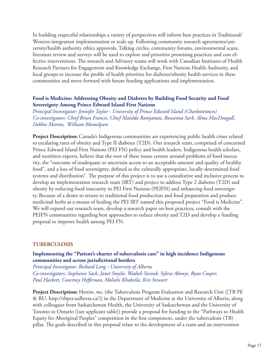In building respectful relationships a variety of perspectives will inform best practices in Traditional/ Western integration implementation or scale up. Following community research agreements/university/health authority ethics approvals, Talking circles, community forums, environmental scans, literature review and surveys will be used to explore and prioritize promising practices and cost effective interventions. The research and Advisory teams will work with Canadian Institutes of Health Research Partners for Engagement and Knowledge Exchange, First Nations Health Authority, and local groups to increase the profile of health priorities for diabetes/obesity health services in these communities and move forward with future funding applications and implementation.

### **Food is Medicine: Addressing Obesity and Diabetes by Building Food Security and Food Sovereignty Among Prince Edward Island First Nations**

*Principal Investigator: Jennifer Taylor - University of Prince Edward Island (Charlottetown) Co-investigators: Chief Brian Francis, Chief Matilda Ramjattan, Roseanna Sark, Alma MacDougall, Debbie Martin, William Montelpare*

**Project Description:** Canada's Indigenous communities are experiencing public health crises related to escalating rates of obesity and Type II diabetes (T2D). Our research team, comprised of concerned Prince Edward Island First Nations (PEI FN) policy and health leaders, Indigenous health scholars, and nutrition experts, believe that the root of these issues centres around problems of food insecurity, the "outcome of inadequate or uncertain access to an acceptable amount and quality of healthy food", and a loss of food sovereignty, defined as the culturally appropriate, locally determined food systems and distribution". The purpose of this project is to use a consultative and inclusive process to develop an implementation research team (IRT) and project to address Type 2 diabetes (T2D) and obesity by reducing food insecurity in PEI First Nations (PEIFN) and enhancing food sovereignty. Because of a desire to return to traditional food production and food preparation and produce medicinal herbs as a means of healing the PEI IRT named this proposed project "Food is Medicine". We will expand our research team, develop a research paper on best practices, consult with the PEIFN communities regarding best approaches to reduce obesity and T2D and develop a funding proposal to improve health among PEI FN.

### **TUBERCULOSIS**

### **Implementing the "Patient's charter of tuberculosis care" in high incidence Indigenous communities and across jurisdictional borders**

*Principal Investigator: Richard Long - University of Alberta Co-investigators: Stephanie Sack, Janet Smylie, Wadieh Yacoub, Sylvia Abonyi, Ryan Cooper, Paul Hackett, Courtney Heffernan, Moliehi Khaketla, Kris Stewart* 

**Project Description:** Herein, we, (the Tuberculosis Program Evaluation and Research Unit ([TB PE & RU: http://tbper.ualberta.ca/)] in the Department of Medicine at the University of Alberta, along with colleagues from Saskatchewan Health, the University of Saskatchewan and the University of Toronto in Ontario ([see applicant table]) provide a proposal for funding to the "Pathways to Health Equity for Aboriginal Peoples" competition in the first component, under the tuberculosis (TB) pillar. The goals described in this proposal relate to the development of a team and an intervention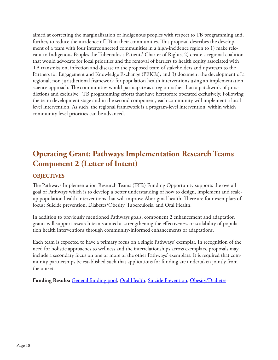aimed at correcting the marginalization of Indigenous peoples with respect to TB programming and, further, to reduce the incidence of TB in their communities. This proposal describes the development of a team with four interconnected communities in a high-incidence region to 1) make relevant to Indigenous Peoples the Tuberculosis Patients' Charter of Rights, 2) create a regional coalition that would advocate for local priorities and the removal of barriers to health equity associated with TB transmission, infection and disease to the proposed team of stakeholders and upstream to the Partners for Engagement and Knowledge Exchange (PEKEs); and 3) document the development of a regional, non-jurisdictional framework for population health interventions using an implementation science approach. The communities would participate as a region rather than a patchwork of jurisdictions and exclusive ¬TB programming efforts that have heretofore operated exclusively. Following the team development stage and in the second component, each community will implement a local level intervention. As such, the regional framework is a program-level intervention, within which community level priorities can be advanced.

# **Operating Grant: Pathways Implementation Research Teams Component 2 (Letter of Intent)**

# **OBJECTIVES**

The Pathways Implementation Research Teams (IRTs) Funding Opportunity supports the overall goal of Pathways which is to develop a better understanding of how to design, implement and scaleup population health interventions that will improve Aboriginal health. There are four exemplars of focus: Suicide prevention, Diabetes/Obesity, Tuberculosis, and Oral Health.

In addition to previously mentioned Pathways goals, component 2 enhancement and adaptation grants will support research teams aimed at strengthening the effectiveness or scalability of population health interventions through community-informed enhancements or adaptations.

Each team is expected to have a primary focus on a single Pathways' exemplar. In recognition of the need for holistic approaches to wellness and the interrelationships across exemplars, proposals may include a secondary focus on one or more of the other Pathways' exemplars. It is required that community partnerships be established such that applications for funding are undertaken jointly from the outset.

**Funding Results:** [General funding pool,](http://webapps.cihr-irsc.gc.ca/cfdd/db_search?p_language=E&p_competition=201411OPR) [Oral Health,](http://webapps.cihr-irsc.gc.ca/cfdd/db_search?p_language=E&p_competition=201411PR1) [Suicide Prevention](http://webapps.cihr-irsc.gc.ca/cfdd/db_search?p_language=E&p_competition=201411PR2), [Obesity/Diabetes](http://webapps.cihr-irsc.gc.ca/cfdd/db_search?p_language=E&p_competition=201411PR3)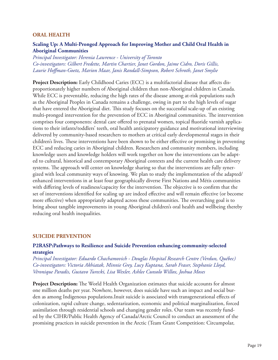#### **ORAL HEALTH**

### **Scaling Up: A Multi-Pronged Approach for Improving Mother and Child Oral Health in Aboriginal Communities**

*Principal Investigator: Herenia Lawrence - University of Toronto Co-investigators: Gilbert Fredette, Martin Chartier, Janet Gordon, Jaime Cidro, Doris Gillis, Laurie Hoffman-Goetz, Marion Maar, Janis Randall-Simpson, Robert Schroth, Janet Smylie*

**Project Description:** Early Childhood Caries (ECC) is a multifactorial disease that affects disproportionately higher numbers of Aboriginal children than non-Aboriginal children in Canada. While ECC is preventable, reducing the high rates of the disease among at-risk populations such as the Aboriginal Peoples in Canada remains a challenge, owing in part to the high levels of sugar that have entered the Aboriginal diet. This study focuses on the successful scale-up of an existing multi-pronged intervention for the prevention of ECC in Aboriginal communities. The intervention comprises four components: dental care offered to prenatal women, topical fluoride varnish applications to their infants/toddlers' teeth, oral health anticipatory guidance and motivational interviewing delivered by community-based researchers to mothers at critical early developmental stages in their children's lives. These interventions have been shown to be either effective or promising in preventing ECC and reducing caries in Aboriginal children. Researchers and community members, including knowledge users and knowledge holders will work together on how the interventions can be adapted to cultural, historical and contemporary Aboriginal contexts and the current health care delivery systems. The approach will center on knowledge sharing so that the interventions are fully synergized with local community ways of knowing. We plan to study the implementation of the adapted/ enhanced interventions in at least four geographically diverse First Nations and Métis communities with differing levels of readiness/capacity for the intervention. The objective is to confirm that the set of interventions identified for scaling up are indeed effective and will remain effective (or become more effective) when appropriately adapted across these communities. The overarching goal is to bring about tangible improvements in young Aboriginal children's oral health and wellbeing thereby reducing oral health inequalities.

#### **SUICIDE PREVENTION**

### **P2RASP:Pathways to Resilience and Suicide Prevention enhancing community-selected strategies**

*Principal Investigator: Eduardo Chachamovich - Douglas Hospital Research Centre (Verdun, Québec) Co-investigators: Victoria Akhiatak, Minnie Grey, Lucy Kuptana, Sarah Fraser, Stephanie Lloyd, Véronique Paradis, Gustavo Turecki, Lisa Wexler, Ashlee Cunsolo Willox, Joshua Moses*

**Project Description:** The World Health Organization estimates that suicide accounts for almost one million deaths per year. Nowhere, however, does suicide have such an impact and social burden as among Indigenous populations.Inuit suicide is associated with transgenerational effects of colonization, rapid culture change, sedentarization, economic and political marginalization, forced assimilation through residential schools and changing gender roles. Our team was recently funded by the CIHR/Public Health Agency of Canada/Arctic Council to conduct an assessment of the promising practices in suicide prevention in the Arctic (Team Grant Competition: Circumpolar,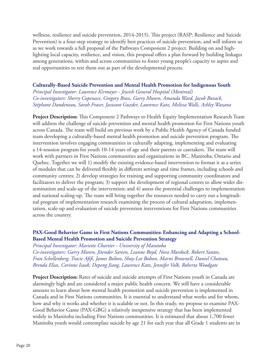wellness, resilience and suicide prevention, 2014-2015). This project (RASP: Resilience and Suicide Prevention) is a four-step strategy to identify best practices of suicide prevention, and will inform us as we work towards a full proposal of the Pathways Component 2 project. Building on and highlighting local capacity, resilience, and vision, this proposal offers a plan forward by building linkages among generations, within and across communities to foster young people's capacity to aspire and real opportunities to test them out as part of the developmental process.

# **Culturally-Based Suicide Prevention and Mental Health Promotion for Indigenous Youth**

*Principal Investigator: Laurence Kirmayer - Jewish General Hospital (Montreal) Co-investigators: Sherry Copenace, Gregory Brass, Garry Munro, Amanda Ward, Jacob Burack, Stéphane Dandeneau, Sarah Fraser, Jaswant Guzder, Laurence Katz, Melissa Walls, Ashley Wazana*

**Project Description:** This Component 2 Pathways to Health Equity Implementation Research Team will address the challenge of suicide prevention and mental health promotion for First Nations youth across Canada. The team will build on previous work by a Public Health Agency of Canada funded team developing a culturally-based mental health promotion and suicide prevention program. The intervention involves engaging communities in culturally adapting, implementing and evaluating a 14-sesssion program for youth 10-14 years of age and their parents or caretakers. The team will work with partners in First Nations communities and organizations in BC, Manitoba, Ontario and Quebec. Together we will 1) modify the existing evidence-based intervention to format it as a series of modules that can be delivered flexibly in different settings and time frames, including schools and community centres; 2) develop strategies for training and supporting community coordinators and facilitators to deliver the program; 3) support the development of regional centres to allow wider dissemination and scale-up of the intervention; and 4) assess the potential challenges to implementation and national scaling-up. The team will bring together the resources needed to carry out a longitudinal program of implementation research examining the process of cultural adaptation, implementation, scale-up and evaluation of suicide prevention interventions for First Nations communities across the country.

# **PAX-Good Behavior Game in First Nations Communities: Enhancing and Adapting a School-Based Mental Health Promotion and Suicide Prevention Strategy**

*Principal Investigator: Mariette Chartier - University of Manitoba*

*Co-investigators: Garry Munro, Jitender Sareen, Leanne Boyd, Nora Murdock, Robert Santos, Fran Schellenberg, Tracie Afifi, James Bolton, Shay-Lee Bolton, Marni Brownell, Daniel Chateau, Brenda Elias, Corinne Isaak, Depeng Jiang, Laurence Katz, Jennifer Volk, Roberta Woodgate*

**Project Description:** Rates of suicide and suicide attempts of First Nations youth in Canada are alarmingly high and are considered a major public health concern. We still have a considerable amount to learn about how mental health promotion and suicide prevention is implemented in Canada and in First Nations communities. It is essential to understand what works and for whom, how and why it works and whether it is scalable or not. In this study, we propose to examine PAX-Good Behavior Game (PAX-GBG) a relatively inexpensive strategy that has been implemented widely in Manitoba including First Nations communities. It is estimated that about 1,700 fewer Manitoba youth would contemplate suicide by age 21 for each year that all Grade 1 students are in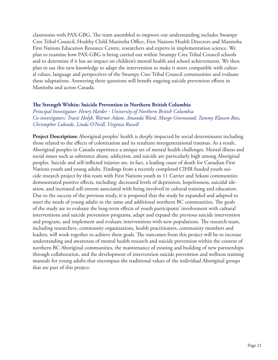classrooms with PAX-GBG. The team assembled to improve our understanding includes Swampy Cree Tribal Council, Healthy Child Manitoba Office, First Nations Health Directors and Manitoba First Nations Education Resource Centre, researchers and experts in implementation science. We plan to examine how PAX-GBG is being carried out within Swampy Cree Tribal Council schools and to determine if it has an impact on children's mental health and school achievements. We then plan to use this new knowledge to adapt the intervention to make it more compatible with cultural values, language and perspectives of the Swampy Cree Tribal Council communities and evaluate these adaptations. Answering these questions will benefit ongoing suicide prevention efforts in Manitoba and across Canada.

### **The Strength Within: Suicide Prevention in Northern British Columbia**

*Principal Investigator: Henry Harder - University of Northern British Columbia Co-investigators: Travis Holyk, Warner Adam, Amanda Ward, Margo Greenwood, Tammy Klassen-Ross, Christopher Lalonde, Linda O'Neill, Virginia Russell*

**Project Description:** Aboriginal peoples' health is deeply impacted by social determinants including those related to the effects of colonization and its resultant intergenerational traumas. As a result, Aboriginal peoples in Canada experience a unique set of mental health challenges. Mental illness and social issues such as substance abuse, addiction, and suicide are particularly high among Aboriginal peoples. Suicide and self-inflicted injuries are, in fact, a leading cause of death for Canadian First Nations youth and young adults. Findings from a recently completed CIHR funded youth suicide research project by this team with First Nations youth in 11 Carrier and Sekani communities demonstrated positive effects, including: decreased levels of depression, hopelessness, suicidal ideation, and increased self-esteem associated with being involved in cultural training and education. Due to the success of the previous study, it is proposed that the study be expanded and adapted to meet the needs of young adults in the same and additional northern BC communities. The goals of the study are to evaluate the long-term effects of youth participants' involvement with cultural interventions and suicide prevention programs, adapt and expand the previous suicide intervention and program, and implement and evaluate interventions with new populations. The research team, including researchers, community organizations, health practitioners, community members and leaders, will work together to achieve these goals. The outcomes from this project will be to increase understanding and awareness of mental health research and suicide prevention within the context of northern BC Aboriginal communities, the maintenance of existing and building of new partnerships through collaboration, and the development of intervention suicide prevention and wellness training manuals for young adults that encompass the traditional values of the individual Aboriginal groups that are part of this project.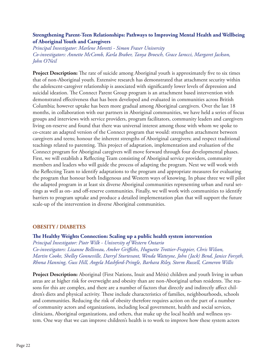# **Strengthening Parent-Teen Relationships: Pathways to Improving Mental Health and Wellbeing of Aboriginal Youth and Caregivers**

*Principal Investigator: Marlene Moretti - Simon Fraser University Co-investigators: Annette McComb, Karla Braber, Tanya Broesch, Grace Iarocci, Margaret Jackson, John O'Neil*

**Project Description:** The rate of suicide among Aboriginal youth is approximately five to six times that of non-Aboriginal youth. Extensive research has demonstrated that attachment security within the adolescent-caregiver relationship is associated with significantly lower levels of depression and suicidal ideation. The Connect Parent Group program is an attachment based intervention with demonstrated effectiveness that has been developed and evaluated in communities across British Columbia; however uptake has been more gradual among Aboriginal caregivers. Over the last 18 months, in collaboration with our partners in Aboriginal communities, we have held a series of focus groups and interviews with service providers, program facilitators, community leaders and caregivers living on-reserve and found that there was universal interest among those with whom we spoke to co-create an adapted version of the Connect program that would: strengthen attachment between caregivers and teens; honour the inherent strengths of Aboriginal caregivers; and respect traditional teachings related to parenting. This project of adaptation, implementation and evaluation of the Connect program for Aboriginal caregivers will move forward through four developmental phases. First, we will establish a Reflecting Team consisting of Aboriginal service providers, community members and leaders who will guide the process of adapting the program. Next we will work with the Reflecting Team to identify adaptations to the program and appropriate measures for evaluating the program that honour both Indigenous and Western ways of knowing. In phase three we will pilot the adapted program in at least six diverse Aboriginal communities representing urban and rural settings as well as on- and off-reserve communities. Finally, we will work with communities to identify barriers to program uptake and produce a detailed implementation plan that will support the future scale-up of the intervention in diverse Aboriginal communities.

### **OBESITY / DIABETES**

**The Healthy Weights Connection: Scaling up a public health system intervention** *Principal Investigator: Piotr Wilk - University of Western Ontario Co-investigators: Lizanne Belliveau, Amber Griffiths, Huguette Trottier-Frappier, Chris Wilson, Martin Cooke, Shelley Gonneville, Darryl Sturtevant, Wenda Watteyne, John (Jack) Bend, Janice Forsyth, Rhona Hanning, Guss Hill, Angela Mashford-Pringle, Barbara Riley, Storm Russell, Cameron Willis*

**Project Description:** Aboriginal (First Nations, Inuit and Métis) children and youth living in urban areas are at higher risk for overweight and obesity than are non-Aboriginal urban residents. The reasons for this are complex, and there are a number of factors that directly and indirectly affect children's diets and physical activity. These include characteristics of families, neighbourhoods, schools and communities. Reducing the risk of obesity therefore requires action on the part of a number of community actors and organizations, including local government, health and social services, clinicians, Aboriginal organizations, and others, that make up the local health and wellness system. One way that we can improve children's health is to work to improve how these system actors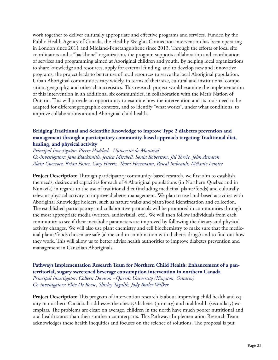work together to deliver culturally appropriate and effective programs and services. Funded by the Public Health Agency of Canada, the Healthy Weights Connection intervention has been operating in London since 2011 and Midland-Penetanguishene since 2013. Through the efforts of local site coordinators and a "backbone" organization, the program supports collaboration and coordination of services and programming aimed at Aboriginal children and youth. By helping local organizations to share knowledge and resources, apply for external funding, and to develop new and innovative programs, the project leads to better use of local resources to serve the local Aboriginal population. Urban Aboriginal communities vary widely, in terms of their size, cultural and institutional composition, geography, and other characteristics. This research project would examine the implementation of this intervention in an additional six communities, in collaboration with the Métis Nation of Ontario. This will provide an opportunity to examine how the intervention and its tools need to be adapted for different geographic contexts, and to identify "what works", under what conditions, to improve collaborations around Aboriginal child health.

# **Bridging Traditional and Scientific Knowledge to improve Type 2 diabetes prevention and management through a participatory community-based approach targeting Traditional diet, healing, and physical activity**

*Principal Investigator: Pierre Haddad - Université de Montréal Co-investigators: Jane Blacksmith, Jessica Mitchell, Sonia Robertson, Jill Torrie, John Arnason, Alain Cuerroer, Brian Foster, Cory Harris, Thora Herrmann, Pascal Imbeault, Mélanie Lemire*

**Project Description:** Through participatory community-based research, we first aim to establish the needs, desires and capacities for each of 4 Aboriginal populations (in Northern Quebec and in Nunavik) in regards to the use of traditional diet (including medicinal plants/foods) and culturally relevant physical activity to improve diabetes management. We plan to use land-based activities with Aboriginal Knowledge holders, such as nature walks and plant/food identification and collection. The established participatory and collaborative protocols will be promoted in communities through the most appropriate media (written, audiovisual, etc). We will then follow individuals from each community to see if their metabolic parameters are improved by following the dietary and physical activity changes. We will also use plant chemistry and cell biochemistry to make sure that the medicinal plants/foods chosen are safe (alone and in combination with diabetes drugs) and to find out how they work. This will allow us to better advise health authorities to improve diabetes prevention and management in Canadian Aboriginals.

**Pathways Implementation Research Team for Northern Child Health: Enhancement of a panterritorial, sugary sweetened beverage consumption intervention in northern Canada** *Principal Investigator: Colleen Davison - Queen's University (Kingston, Ontario) Co-investigators: Elsie De Roose, Shirley Tagalik, Jody Butler Walker*

**Project Description:** This program of intervention research is about improving child health and equity in northern Canada. It addresses the obesity/diabetes (primary) and oral health (secondary) exemplars. The problems are clear: on average, children in the north have much poorer nutritional and oral health status than their southern counterparts. This Pathways Implementation Research Team acknowledges these health inequities and focuses on the science of solutions. The proposal is put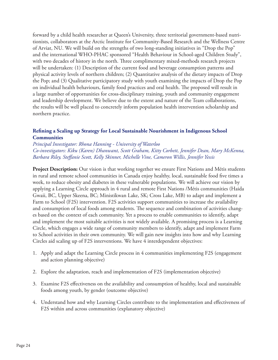forward by a child health researcher at Queen's University, three territorial government-based nutritionists, collaborators at the Arctic Institute for Community-Based Research and the Wellness Centre of Arviat, NU. We will build on the strengths of two long-standing initiatives in "Drop the Pop" and the international WHO-PHAC sponsored "Health Behaviour in School-aged Children Study", with two decades of history in the north. Three complimentary mixed-methods research projects will be undertaken: (1) Description of the current food and beverage consumption patterns and physical activity levels of northern children; (2) Quantitative analysis of the dietary impacts of Drop the Pop; and (3) Qualitative participatory study with youth examining the impacts of Drop the Pop on individual health behaviours, family food practices and oral health. The proposed will result in a large number of opportunities for cross-disciplinary training, youth and community engagement and leadership development. We believe due to the extent and nature of the Team collaborations, the results will be well placed to concretely inform population health intervention scholarship and northern practice.

# **Refining a Scaling up Strategy for Local Sustainable Nourishment in Indigenous School Communities**

*Principal Investigator: Rhona Hanning - University of Waterloo Co-investigators: Kiku (Karen) Dhanwant, Scott Graham, Kitty Corbett, Jennifer Dean, Mary McKenna, Barbara Riley, Steffanie Scott, Kelly Skinner, Michelle Vine, Cameron Willis, Jennifer Yessis*

**Project Description:** Our vision is that working together we ensure First Nations and Métis students in rural and remote school communities in Canada enjoy healthy, local, sustainable food five times a week, to reduce obesity and diabetes in these vulnerable populations. We will achieve our vision by applying a Learning Circle approach in 4 rural and remote First Nations /Métis communities (Haida Gwaii, BC, Upper Skeena, BC; Ministikwan Lake, SK; Cross Lake, MB) to adapt and implement a Farm to School (F2S) intervention. F2S activities support communities to increase the availability and consumption of local foods among students. The sequence and combination of activities changes based on the context of each community. Yet a process to enable communities to identify, adapt and implement the most suitable activities is not widely available. A promising process is a Learning Circle, which engages a wide range of community members to identify, adapt and implement Farm to School activities in their own community. We will gain new insights into how and why Learning Circles aid scaling up of F2S interventions. We have 4 interdependent objectives:

- 1. Apply and adapt the Learning Circle process in 4 communities implementing F2S (engagement and action planning objective)
- 2. Explore the adaptation, reach and implementation of F2S (implementation objective)
- 3. Examine F2S effectiveness on the availability and consumption of healthy, local and sustainable foods among youth, by gender (outcome objective)
- 4. Understand how and why Learning Circles contribute to the implementation and effectiveness of F2S within and across communities (explanatory objective)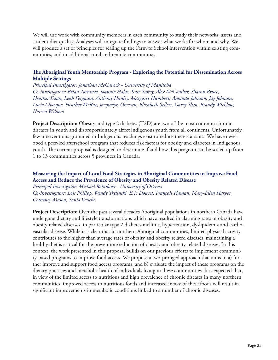We will use work with community members in each community to study their networks, assets and student diet quality. Analyses will integrate findings to answer what works for whom and why. We will produce a set of principles for scaling up the Farm to School intervention within existing communities, and in additional rural and remote communities.

# **The Aboriginal Youth Mentorship Program - Exploring the Potential for Dissemination Across Multiple Settings**

*Principal Investigator: Jonathan McGavock - University of Manitoba Co-investigators: Brian Torrance, Joannie Halas, Kate Storey, Alex McComber, Sharon Bruce, Heather Dean, Leah Ferguson, Anthony Hanley, Margaret Humbert, Amanda Johnson, Jay Johnson, Lucie Lévesque, Heather McRae, Jacquelyn Oncescu, Elizabeth Sellers, Garry Shen, Brandy Wicklow, Noreen Willows*

**Project Description:** Obesity and type 2 diabetes (T2D) are two of the most common chronic diseases in youth and disproportionately affect indigenous youth from all continents. Unfortunately, few interventions grounded in Indigenous teachings exist to reduce these statistics. We have developed a peer-led afterschool program that reduces risk factors for obesity and diabetes in Indigenous youth. The current proposal is designed to determine if and how this program can be scaled up from 1 to 13 communities across 5 provinces in Canada.

# **Measuring the Impact of Local Food Strategies in Aboriginal Communities to Improve Food Access and Reduce the Prevalence of Obesity and Obesity Related Disease**

*Principal Investigator: Michael Robidoux - University of Ottawa Co-investigators: Lois Philipp, Wendy Trylinski, Eric Doucet, François Haman, Mary-Ellen Harper, Courtney Mason, Sonia Wesche*

**Project Description:** Over the past several decades Aboriginal populations in northern Canada have undergone dietary and lifestyle transformations which have resulted in alarming rates of obesity and obesity related diseases, in particular type 2 diabetes mellitus, hypertension, dyslipidemia and cardiovascular disease. While it is clear that in northern Aboriginal communities, limited physical activity contributes to the higher than average rates of obesity and obesity related diseases, maintaining a healthy diet is critical for the prevention/reduction of obesity and obesity related diseases. In this context, the work presented in this proposal builds on our previous efforts to implement community-based programs to improve food access. We propose a two-pronged approach that aims to a) further improve and support food access programs, and b) evaluate the impact of these programs on the dietary practices and metabolic health of individuals living in these communities. It is expected that, in view of the limited access to nutritious and high prevalence of chronic diseases in many northern communities, improved access to nutritious foods and increased intake of these foods will result in significant improvements in metabolic conditions linked to a number of chronic diseases.